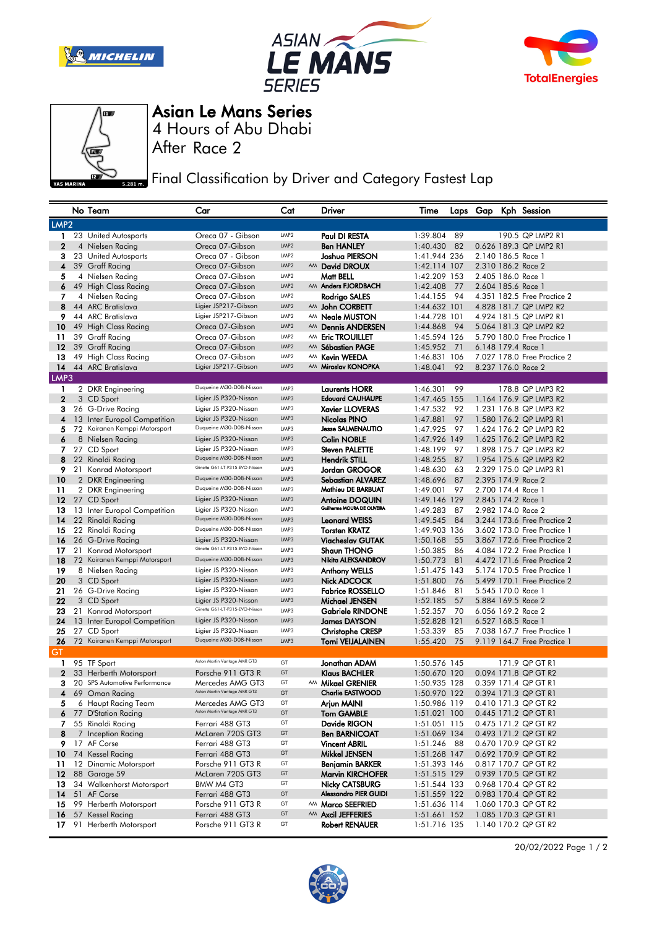







4 Hours of Abu Dhabi Asian Le Mans Series

After Race 2

**Final Classification by Driver and Category Fastest Lap** 

|                  |    | No Team                            | Car                                                     | Cat              |    | Driver                                               | Time                 |          |  | Laps Gap Kph Session                     |
|------------------|----|------------------------------------|---------------------------------------------------------|------------------|----|------------------------------------------------------|----------------------|----------|--|------------------------------------------|
| LMP <sub>2</sub> |    |                                    |                                                         |                  |    |                                                      |                      |          |  |                                          |
| 1.               |    | 23 United Autosports               | Oreca 07 - Gibson                                       | LMP <sub>2</sub> |    | Paul DI RESTA                                        | 1:39.804             | 89       |  | 190.5 QP LMP2 R1                         |
| $\mathbf{2}$     |    | 4 Nielsen Racing                   | Oreca 07-Gibson                                         | LMP <sub>2</sub> |    | <b>Ben HANLEY</b>                                    | 1:40.430             | 82       |  | 0.626 189.3 QP LMP2 R1                   |
| 3                |    | 23 United Autosports               | Oreca 07 - Gibson                                       | LMP <sub>2</sub> |    | Joshua PIERSON                                       | 1:41.944 236         |          |  | 2.140 186.5 Race 1                       |
| 4                |    | 39 Graff Racing                    | Oreca 07-Gibson                                         | LMP2             |    | AM David DROUX                                       | 1:42.114 107         |          |  | 2.310 186.2 Race 2                       |
| 5                |    | 4 Nielsen Racing                   | Oreca 07-Gibson                                         | LMP <sub>2</sub> |    | Matt BELL                                            | 1:42.209 153         |          |  | 2.405 186.0 Race 1                       |
| 6                |    | 49 High Class Racing               | Oreca 07-Gibson                                         | LMP <sub>2</sub> |    | AM Anders FJORDBACH                                  | 1:42.408             | 77       |  | 2.604 185.6 Race 1                       |
| 7                |    | 4 Nielsen Racing                   | Oreca 07-Gibson                                         | LMP <sub>2</sub> |    | Rodrigo SALES                                        | 1:44.155             | 94       |  | 4.351 182.5 Free Practice 2              |
| 8                |    | 44 ARC Bratislava                  | Ligier JSP217-Gibson                                    | LMP2             |    | AM John CORBETT                                      | 1:44.632 101         |          |  | 4.828 181.7 QP LMP2 R2                   |
| 9                |    | 44 ARC Bratislava                  | Ligier JSP217-Gibson                                    | LMP <sub>2</sub> |    | AM Neale MUSTON                                      | 1:44.728 101         |          |  | 4.924 181.5 QP LMP2 R1                   |
| 10               |    | 49 High Class Racing               | Oreca 07-Gibson                                         | LMP2             |    | AM Dennis ANDERSEN                                   | 1:44.868             | 94       |  | 5.064 181.3 QP LMP2 R2                   |
| 11               |    | 39 Graff Racing                    | Oreca 07-Gibson                                         | LMP <sub>2</sub> | AM | <b>Eric TROUILLET</b>                                | 1:45.594 126         |          |  | 5.790 180.0 Free Practice 1              |
| 12               |    | 39 Graff Racing                    | Oreca 07-Gibson                                         | LMP <sub>2</sub> | AM | <b>Sébastien PAGE</b>                                | 1:45.952             | 71       |  | 6.148 179.4 Race 1                       |
| 13               |    | 49 High Class Racing               | Oreca 07-Gibson                                         | LMP <sub>2</sub> | AM | <b>Kevin WEEDA</b>                                   | 1:46.831 106         |          |  | 7.027 178.0 Free Practice 2              |
| 14               |    | 44 ARC Bratislava                  | Ligier JSP217-Gibson                                    | LMP2             | AM | Miroslav KONOPKA                                     | 1:48.041             | 92       |  | 8.237 176.0 Race 2                       |
| LMP3             |    |                                    |                                                         |                  |    |                                                      |                      |          |  |                                          |
| 1                |    | 2 DKR Engineering                  | Duqueine M30-D08-Nissan                                 | LMP3             |    | <b>Laurents HORR</b>                                 | 1:46.301             | 99       |  | 178.8 QP LMP3 R2                         |
| $\mathbf{2}$     |    | 3 CD Sport                         | Ligier JS P320-Nissan                                   | LMP3             |    | <b>Edouard CAUHAUPE</b>                              | 1:47.465 155         |          |  | 1.164 176.9 QP LMP3 R2                   |
| 3                |    | 26 G-Drive Racing                  | Ligier JS P320-Nissan                                   | LMP3             |    | <b>Xavier LLOVERAS</b>                               | 1:47.532             | 92       |  | 1.231 176.8 QP LMP3 R2                   |
| 4                |    | 13 Inter Europol Competition       | Ligier JS P320-Nissan                                   | LMP3             |    | Nicolas PINO                                         | 1:47.881             | 97       |  | 1.580 176.2 QP LMP3 R1                   |
| 5                |    | 72 Koiranen Kemppi Motorsport      | Duqueine M30-D08-Nissan                                 | LMP3             |    | <b>Jesse SALMENAUTIO</b>                             | 1:47.925             | 97       |  | 1.624 176.2 QP LMP3 R2                   |
| 6                |    | 8 Nielsen Racing                   | Ligier JS P320-Nissan                                   | LMP3             |    | <b>Colin NOBLE</b>                                   | 1:47.926 149         |          |  | 1.625 176.2 QP LMP3 R2                   |
| 7                |    | 27 CD Sport                        | Ligier JS P320-Nissan                                   | LMP3             |    | <b>Steven PALETTE</b>                                | 1:48.199             | 97       |  | 1.898 175.7 QP LMP3 R2                   |
| 8                |    | 22 Rinaldi Racing                  | Duqueine M30-D08-Nissan                                 | LMP3             |    | <b>Hendrik STILL</b>                                 | 1:48.255             | 87       |  | 1.954 175.6 QP LMP3 R2                   |
| 9                |    | 21 Konrad Motorsport               | Ginetta G61-LT-P315-EVO-Nissan                          | LMP3             |    | Jordan GROGOR                                        | 1:48.630             | 63       |  | 2.329 175.0 QP LMP3 R1                   |
| 10               |    | 2 DKR Engineering                  | Duqueine M30-D08-Nissan                                 | LMP3             |    | <b>Sebastian ALVAREZ</b>                             | 1:48.696             | 87       |  | 2.395 174.9 Race 2                       |
| 11               |    | 2 DKR Engineering                  | Duqueine M30-D08-Nissan                                 | LMP3             |    | Mathieu DE BARBUAT                                   | 1:49.001             | 97       |  | 2.700 174.4 Race 1                       |
| 12               |    | 27 CD Sport                        | Ligier JS P320-Nissan                                   | LMP3             |    | <b>Antoine DOQUIN</b><br>Guilherme MOURA DE OLIVEIRA | 1:49.146 129         |          |  | 2.845 174.2 Race 1                       |
| 13               |    | 13 Inter Europol Competition       | Ligier JS P320-Nissan                                   | LMP3             |    |                                                      | 1:49.283             | 87       |  | 2.982 174.0 Race 2                       |
| 14               |    | 22 Rinaldi Racing                  | Duqueine M30-D08-Nissan                                 | LMP3             |    | <b>Leonard WEISS</b>                                 | 1:49.545             | 84       |  | 3.244 173.6 Free Practice 2              |
| 15               |    | 22 Rinaldi Racing                  | Duqueine M30-D08-Nissan                                 | LMP3             |    | <b>Torsten KRATZ</b>                                 | 1:49.903 136         |          |  | 3.602 173.0 Free Practice 1              |
| 16               |    | 26 G-Drive Racing                  | Ligier JS P320-Nissan<br>Ginetta G61-LT-P315-EVO-Nissan | LMP3             |    | <b>Viacheslav GUTAK</b>                              | 1:50.168             | 55       |  | 3.867 172.6 Free Practice 2              |
| 17               |    | 21 Konrad Motorsport               | Duqueine M30-D08-Nissan                                 | LMP3             |    | <b>Shaun THONG</b>                                   | 1:50.385             | 86       |  | 4.084 172.2 Free Practice 1              |
| 18               |    | 72 Koiranen Kemppi Motorsport      |                                                         | LMP3             |    | Nikita ALEKSANDROV                                   | 1:50.773             | 81       |  | 4.472 171.6 Free Practice 2              |
| 19               |    | 8 Nielsen Racing                   | Ligier JS P320-Nissan<br>Ligier JS P320-Nissan          | LMP3<br>LMP3     |    | Anthony WELLS                                        | 1:51.475 143         |          |  | 5.174 170.5 Free Practice 1              |
| 20               |    | 3 CD Sport                         | Ligier JS P320-Nissan                                   | LMP3             |    | Nick ADCOCK                                          | 1:51.800             | 76       |  | 5.499 170.1 Free Practice 2              |
| 21<br>22         |    | 26 G-Drive Racing                  | Ligier JS P320-Nissan                                   | LMP3             |    | <b>Fabrice ROSSELLO</b>                              | 1:51.846             | 81<br>57 |  | 5.545 170.0 Race 1<br>5.884 169.5 Race 2 |
| 23               |    | 3 CD Sport<br>21 Konrad Motorsport | Ginetta G61-LT-P315-EVO-Nissan                          | LMP3             |    | Michael JENSEN<br><b>Gabriele RINDONE</b>            | 1:52.185<br>1:52.357 | 70       |  | 6.056 169.2 Race 2                       |
| 24               |    | 13 Inter Europol Competition       | Ligier JS P320-Nissan                                   | LMP3             |    | <b>James DAYSON</b>                                  | 1:52.828 121         |          |  | 6.527 168.5 Race 1                       |
| 25               |    | 27 CD Sport                        | Ligier JS P320-Nissan                                   | LMP3             |    | <b>Christophe CRESP</b>                              | 1:53.339             | 85       |  | 7.038 167.7 Free Practice 1              |
| 26               |    | 72 Koiranen Kemppi Motorsport      | Duqueine M30-D08-Nissan                                 | LMP3             |    | <b>Tomi VEIJALAINEN</b>                              | 1:55.420             | 75       |  | 9.119 164.7 Free Practice 1              |
| GT               |    |                                    |                                                         |                  |    |                                                      |                      |          |  |                                          |
| 1                |    | 95 TF Sport                        | Aston Martin Vantage AMR GT3                            | GT               |    | Jonathan ADAM                                        | 1:50.576 145         |          |  | 171.9 QP GT R1                           |
| $\mathbf 2$      |    | 33 Herberth Motorsport             | Porsche 911 GT3 R                                       | GT               |    | <b>Klaus BACHLER</b>                                 | 1:50.670 120         |          |  | 0.094 171.8 QP GT R2                     |
| з                |    | 20 SPS Automotive Performance      | Mercedes AMG GT3                                        | GT               |    | AM Mikael GRENIER                                    | 1:50.935 128         |          |  | 0.359 171.4 QP GT R1                     |
| 4                |    | 69 Oman Racing                     | Aston Martin Vantage AMR GT3                            | GT               |    | <b>Charlie EASTWOOD</b>                              | 1:50.970 122         |          |  | 0.394 171.3 QP GT R1                     |
| 5                |    | 6 Haupt Racing Team                | Mercedes AMG GT3                                        | GT               |    | Arjun MAINI                                          | 1:50.986 119         |          |  | 0.410 171.3 QP GT R2                     |
|                  |    | 6 77 D'Station Racing              | Aston Martin Vantage AMR GT3                            | GT               |    | <b>Tom GAMBLE</b>                                    | 1:51.021 100         |          |  | 0.445 171.2 QP GT R1                     |
|                  |    | 7 55 Rinaldi Racing                | Ferrari 488 GT3                                         | GT               |    | Davide RIGON                                         | 1:51.051 115         |          |  | 0.475 171.2 QP GT R2                     |
| 8                |    | 7 Inception Racing                 | McLaren 720S GT3                                        | GT               |    | <b>Ben BARNICOAT</b>                                 | 1:51.069 134         |          |  | 0.493 171.2 QP GT R2                     |
|                  |    | 9 17 AF Corse                      | Ferrari 488 GT3                                         | GT               |    | <b>Vincent ABRIL</b>                                 | 1:51.246 88          |          |  | 0.670 170.9 QP GT R2                     |
|                  |    | 10 74 Kessel Racing                | Ferrari 488 GT3                                         | GT               |    | <b>Mikkel JENSEN</b>                                 | 1:51.268 147         |          |  | 0.692 170.9 QP GT R2                     |
|                  |    | 11 12 Dinamic Motorsport           | Porsche 911 GT3 R                                       | GT               |    | <b>Benjamin BARKER</b>                               | 1:51.393 146         |          |  | 0.817 170.7 QP GT R2                     |
| 12               |    | 88 Garage 59                       | McLaren 720S GT3                                        | GT               |    | <b>Marvin KIRCHOFER</b>                              | 1:51.515 129         |          |  | 0.939 170.5 QP GT R2                     |
| 13               |    | 34 Walkenhorst Motorsport          | BMW M4 GT3                                              | GT               |    | <b>Nicky CATSBURG</b>                                | 1:51.544 133         |          |  | 0.968 170.4 QP GT R2                     |
| 14               |    | 51 AF Corse                        | Ferrari 488 GT3                                         | GT               |    | <b>Alessandro PIER GUIDI</b>                         | 1:51.559 122         |          |  | 0.983 170.4 QP GT R2                     |
| 15               |    | 99 Herberth Motorsport             | Porsche 911 GT3 R                                       | GT               |    | AM Marco SEEFRIED                                    | 1:51.636 114         |          |  | 1.060 170.3 QP GT R2                     |
| 16               |    | 57 Kessel Racing                   | Ferrari 488 GT3                                         | GT               |    | AM Axcil JEFFERIES                                   | 1:51.661 152         |          |  | 1.085 170.3 QP GT R1                     |
| 17               | 91 | Herberth Motorsport                | Porsche 911 GT3 R                                       | GT               |    | Robert RENAUER                                       | 1:51.716 135         |          |  | 1.140 170.2 QP GT R2                     |